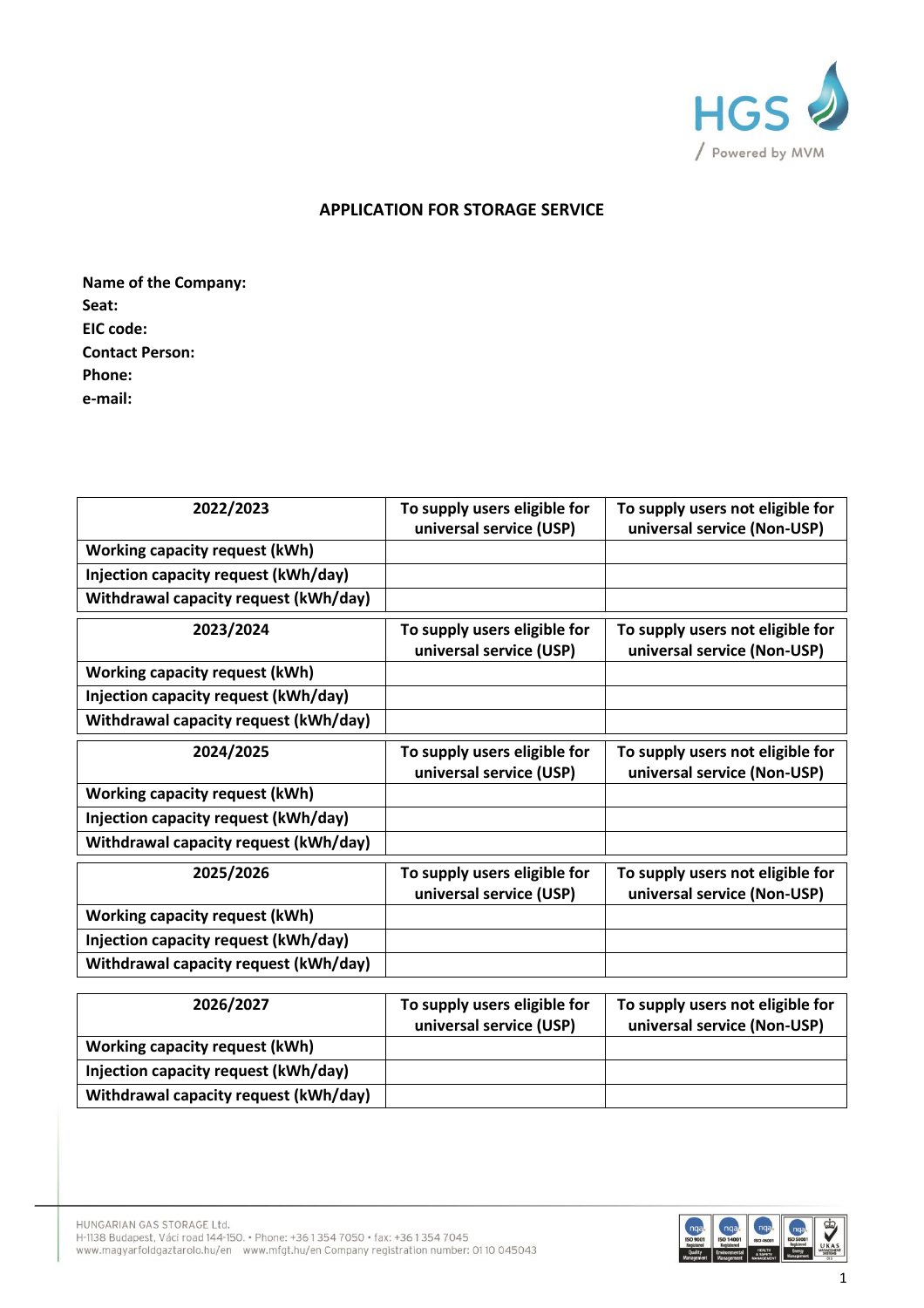

## **APPLICATION FOR STORAGE SERVICE**

**Name of the Company: Seat: EIC code: Contact Person: Phone: e-mail:**

| 2022/2023                             | To supply users eligible for                            | To supply users not eligible for                                |
|---------------------------------------|---------------------------------------------------------|-----------------------------------------------------------------|
|                                       | universal service (USP)                                 | universal service (Non-USP)                                     |
| <b>Working capacity request (kWh)</b> |                                                         |                                                                 |
| Injection capacity request (kWh/day)  |                                                         |                                                                 |
| Withdrawal capacity request (kWh/day) |                                                         |                                                                 |
| 2023/2024                             | To supply users eligible for                            | To supply users not eligible for                                |
|                                       | universal service (USP)                                 | universal service (Non-USP)                                     |
| <b>Working capacity request (kWh)</b> |                                                         |                                                                 |
| Injection capacity request (kWh/day)  |                                                         |                                                                 |
| Withdrawal capacity request (kWh/day) |                                                         |                                                                 |
| 2024/2025                             | To supply users eligible for                            | To supply users not eligible for                                |
|                                       | universal service (USP)                                 | universal service (Non-USP)                                     |
| <b>Working capacity request (kWh)</b> |                                                         |                                                                 |
| Injection capacity request (kWh/day)  |                                                         |                                                                 |
| Withdrawal capacity request (kWh/day) |                                                         |                                                                 |
| 2025/2026                             | To supply users eligible for                            | To supply users not eligible for                                |
|                                       | universal service (USP)                                 | universal service (Non-USP)                                     |
| Working capacity request (kWh)        |                                                         |                                                                 |
| Injection capacity request (kWh/day)  |                                                         |                                                                 |
| Withdrawal capacity request (kWh/day) |                                                         |                                                                 |
|                                       |                                                         |                                                                 |
| 2026/2027                             | To supply users eligible for<br>universal service (USP) | To supply users not eligible for<br>universal service (Non-USP) |
| <b>Working capacity request (kWh)</b> |                                                         |                                                                 |
| Injection capacity request (kWh/day)  |                                                         |                                                                 |
| Withdrawal capacity request (kWh/day) |                                                         |                                                                 |

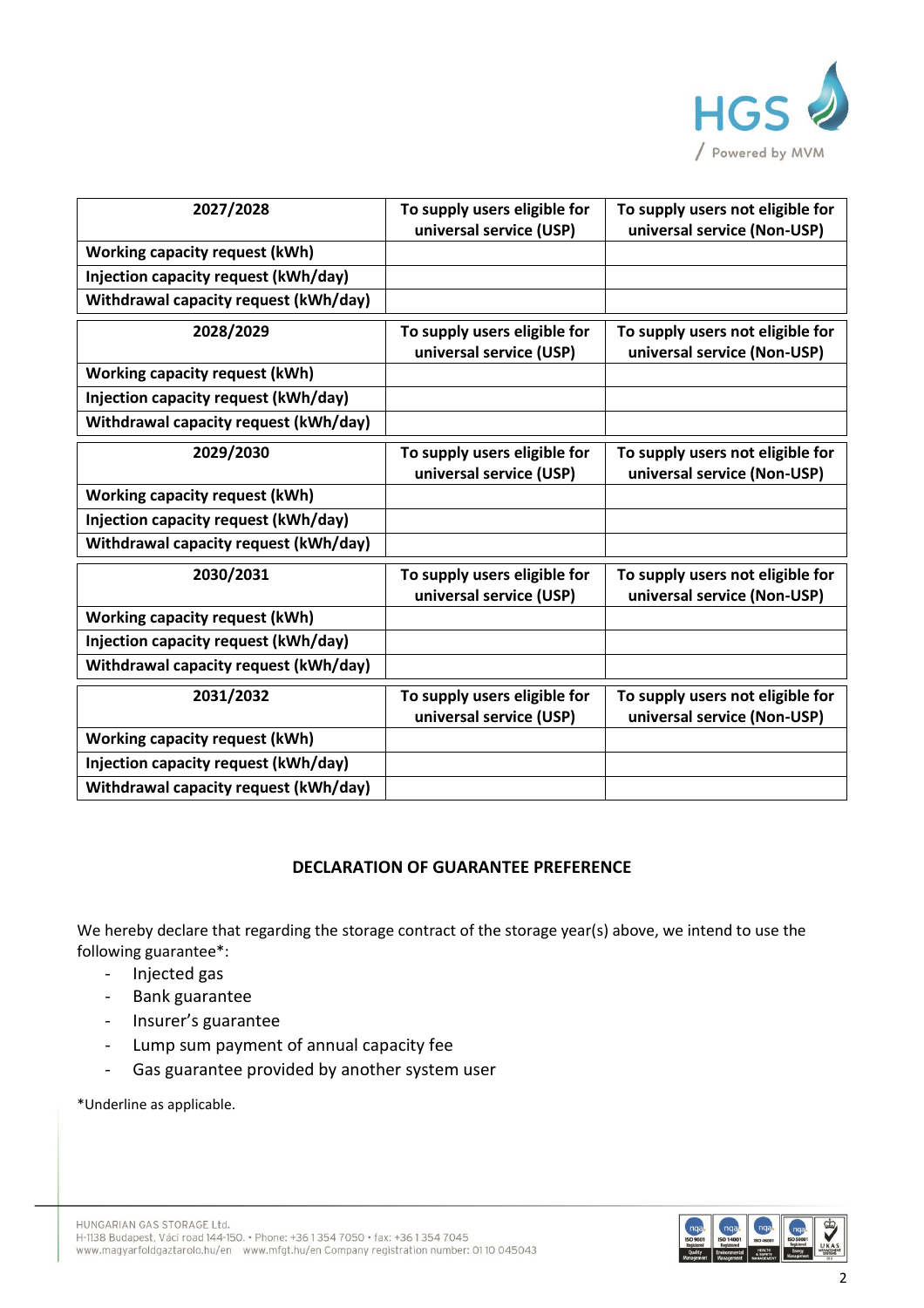

| 2027/2028                             | To supply users eligible for<br>universal service (USP) | To supply users not eligible for<br>universal service (Non-USP) |
|---------------------------------------|---------------------------------------------------------|-----------------------------------------------------------------|
| <b>Working capacity request (kWh)</b> |                                                         |                                                                 |
| Injection capacity request (kWh/day)  |                                                         |                                                                 |
| Withdrawal capacity request (kWh/day) |                                                         |                                                                 |
| 2028/2029                             | To supply users eligible for<br>universal service (USP) | To supply users not eligible for<br>universal service (Non-USP) |
| <b>Working capacity request (kWh)</b> |                                                         |                                                                 |
| Injection capacity request (kWh/day)  |                                                         |                                                                 |
| Withdrawal capacity request (kWh/day) |                                                         |                                                                 |
| 2029/2030                             | To supply users eligible for<br>universal service (USP) | To supply users not eligible for<br>universal service (Non-USP) |
| <b>Working capacity request (kWh)</b> |                                                         |                                                                 |
| Injection capacity request (kWh/day)  |                                                         |                                                                 |
| Withdrawal capacity request (kWh/day) |                                                         |                                                                 |
| 2030/2031                             | To supply users eligible for<br>universal service (USP) | To supply users not eligible for<br>universal service (Non-USP) |
| <b>Working capacity request (kWh)</b> |                                                         |                                                                 |
| Injection capacity request (kWh/day)  |                                                         |                                                                 |
| Withdrawal capacity request (kWh/day) |                                                         |                                                                 |
| 2031/2032                             | To supply users eligible for<br>universal service (USP) | To supply users not eligible for<br>universal service (Non-USP) |
| <b>Working capacity request (kWh)</b> |                                                         |                                                                 |
| Injection capacity request (kWh/day)  |                                                         |                                                                 |
| Withdrawal capacity request (kWh/day) |                                                         |                                                                 |

## **DECLARATION OF GUARANTEE PREFERENCE**

We hereby declare that regarding the storage contract of the storage year(s) above, we intend to use the following guarantee\*:

- Injected gas
- Bank guarantee
- Insurer's guarantee
- Lump sum payment of annual capacity fee
- Gas guarantee provided by another system user

\*Underline as applicable.